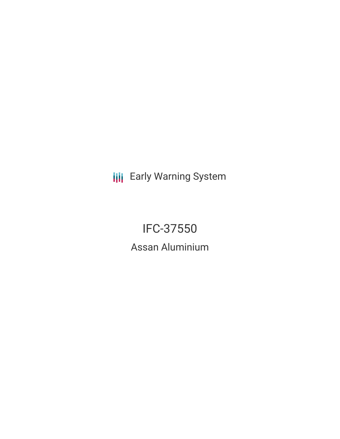**III** Early Warning System

IFC-37550 Assan Aluminium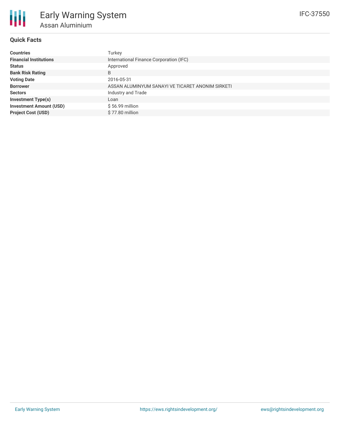## **Quick Facts**

| <b>Countries</b>               | Turkey                                           |
|--------------------------------|--------------------------------------------------|
| <b>Financial Institutions</b>  | International Finance Corporation (IFC)          |
| <b>Status</b>                  | Approved                                         |
| <b>Bank Risk Rating</b>        | B                                                |
| <b>Voting Date</b>             | 2016-05-31                                       |
| <b>Borrower</b>                | ASSAN ALUMINYUM SANAYI VE TICARET ANONIM SIRKETI |
| <b>Sectors</b>                 | Industry and Trade                               |
| <b>Investment Type(s)</b>      | Loan                                             |
| <b>Investment Amount (USD)</b> | $$56.99$ million                                 |
| <b>Project Cost (USD)</b>      | \$77.80 million                                  |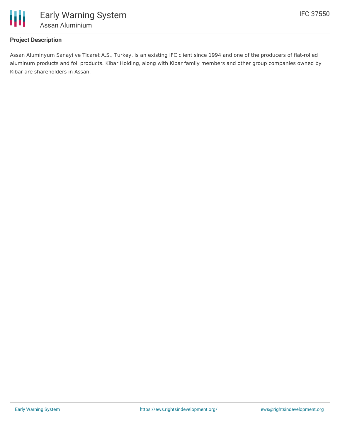

## **Project Description**

Assan Aluminyum Sanayi ve Ticaret A.S., Turkey, is an existing IFC client since 1994 and one of the producers of flat-rolled aluminum products and foil products. Kibar Holding, along with Kibar family members and other group companies owned by Kibar are shareholders in Assan.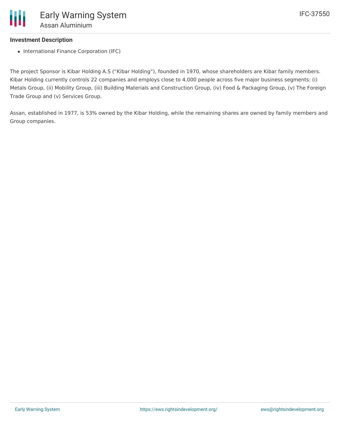## **Investment Description**

• International Finance Corporation (IFC)

The project Sponsor is Kibar Holding A.S ("Kibar Holding"), founded in 1970, whose shareholders are Kibar family members. Kibar Holding currently controls 22 companies and employs close to 4,000 people across five major business segments: (i) Metals Group, (ii) Mobility Group, (iii) Building Materials and Construction Group, (iv) Food & Packaging Group, (v) The Foreign Trade Group and (v) Services Group.

Assan, established in 1977, is 53% owned by the Kibar Holding, while the remaining shares are owned by family members and Group companies.